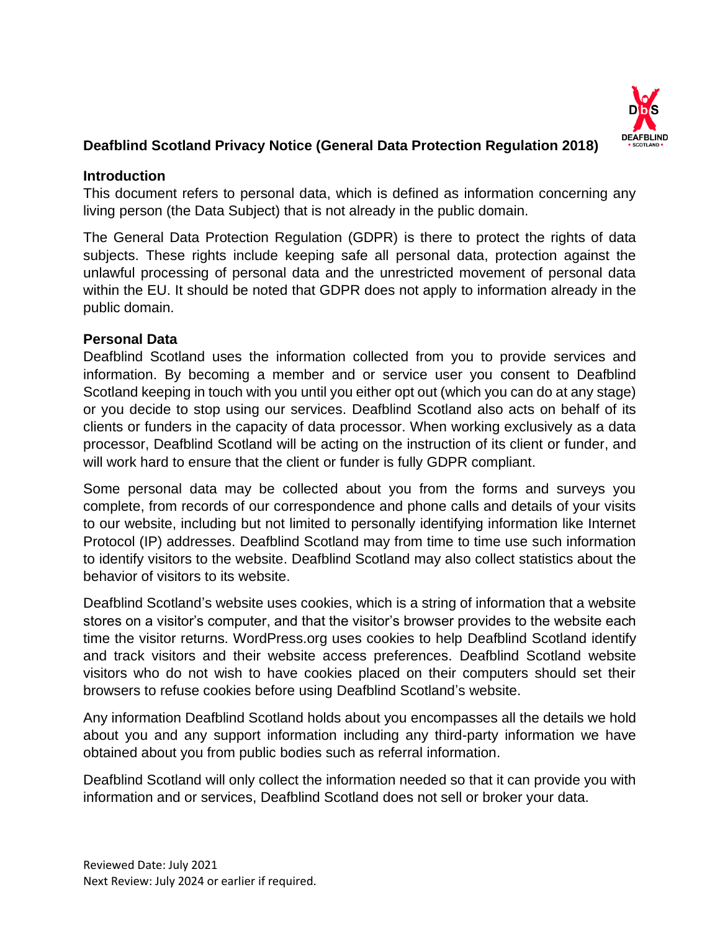

# **Deafblind Scotland Privacy Notice (General Data Protection Regulation 2018)**

### **Introduction**

This document refers to personal data, which is defined as information concerning any living person (the Data Subject) that is not already in the public domain.

The General Data Protection Regulation (GDPR) is there to protect the rights of data subjects. These rights include keeping safe all personal data, protection against the unlawful processing of personal data and the unrestricted movement of personal data within the EU. It should be noted that GDPR does not apply to information already in the public domain.

# **Personal Data**

Deafblind Scotland uses the information collected from you to provide services and information. By becoming a member and or service user you consent to Deafblind Scotland keeping in touch with you until you either opt out (which you can do at any stage) or you decide to stop using our services. Deafblind Scotland also acts on behalf of its clients or funders in the capacity of data processor. When working exclusively as a data processor, Deafblind Scotland will be acting on the instruction of its client or funder, and will work hard to ensure that the client or funder is fully GDPR compliant.

Some personal data may be collected about you from the forms and surveys you complete, from records of our correspondence and phone calls and details of your visits to our website, including but not limited to personally identifying information like Internet Protocol (IP) addresses. Deafblind Scotland may from time to time use such information to identify visitors to the website. Deafblind Scotland may also collect statistics about the behavior of visitors to its website.

Deafblind Scotland's website uses cookies, which is a string of information that a website stores on a visitor's computer, and that the visitor's browser provides to the website each time the visitor returns. WordPress.org uses cookies to help Deafblind Scotland identify and track visitors and their website access preferences. Deafblind Scotland website visitors who do not wish to have cookies placed on their computers should set their browsers to refuse cookies before using Deafblind Scotland's website.

Any information Deafblind Scotland holds about you encompasses all the details we hold about you and any support information including any third-party information we have obtained about you from public bodies such as referral information.

Deafblind Scotland will only collect the information needed so that it can provide you with information and or services, Deafblind Scotland does not sell or broker your data.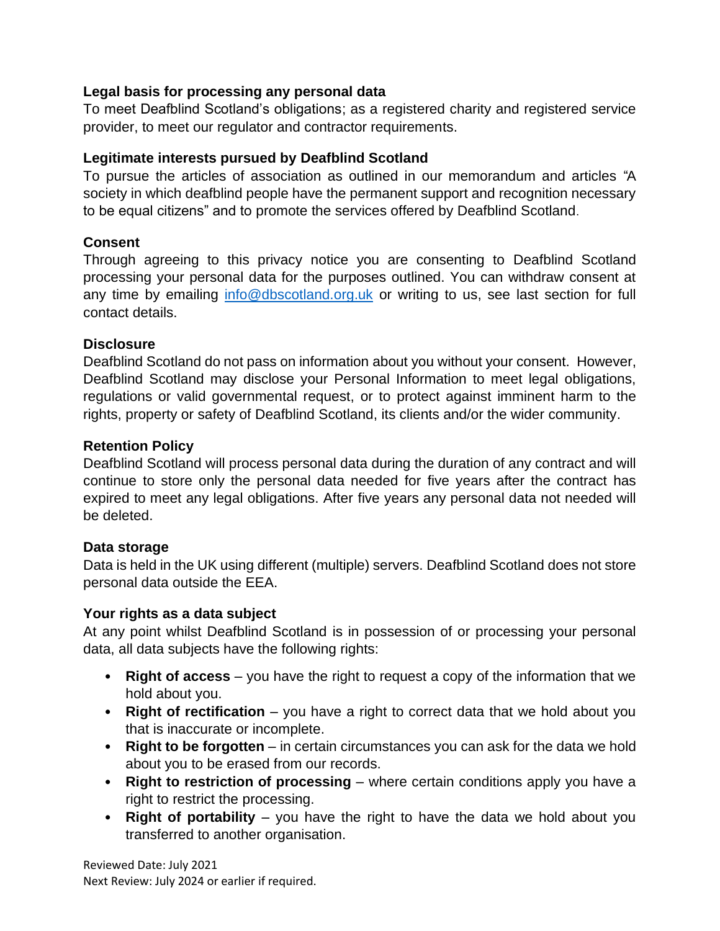### **Legal basis for processing any personal data**

To meet Deafblind Scotland's obligations; as a registered charity and registered service provider, to meet our regulator and contractor requirements.

### **Legitimate interests pursued by Deafblind Scotland**

To pursue the articles of association as outlined in our memorandum and articles "A society in which deafblind people have the permanent support and recognition necessary to be equal citizens" and to promote the services offered by Deafblind Scotland.

# **Consent**

Through agreeing to this privacy notice you are consenting to Deafblind Scotland processing your personal data for the purposes outlined. You can withdraw consent at any time by emailing [info@dbscotland.org.uk](mailto:info@dbscotland.org.uk) or writing to us, see last section for full contact details.

### **Disclosure**

Deafblind Scotland do not pass on information about you without your consent. However, Deafblind Scotland may disclose your Personal Information to meet legal obligations, regulations or valid governmental request, or to protect against imminent harm to the rights, property or safety of Deafblind Scotland, its clients and/or the wider community.

#### **Retention Policy**

Deafblind Scotland will process personal data during the duration of any contract and will continue to store only the personal data needed for five years after the contract has expired to meet any legal obligations. After five years any personal data not needed will be deleted.

# **Data storage**

Data is held in the UK using different (multiple) servers. Deafblind Scotland does not store personal data outside the EEA.

# **Your rights as a data subject**

At any point whilst Deafblind Scotland is in possession of or processing your personal data, all data subjects have the following rights:

- **Right of access** you have the right to request a copy of the information that we hold about you.
- **Right of rectification** you have a right to correct data that we hold about you that is inaccurate or incomplete.
- **Right to be forgotten** in certain circumstances you can ask for the data we hold about you to be erased from our records.
- **Right to restriction of processing** where certain conditions apply you have a right to restrict the processing.
- **Right of portability** you have the right to have the data we hold about you transferred to another organisation.

Reviewed Date: July 2021 Next Review: July 2024 or earlier if required.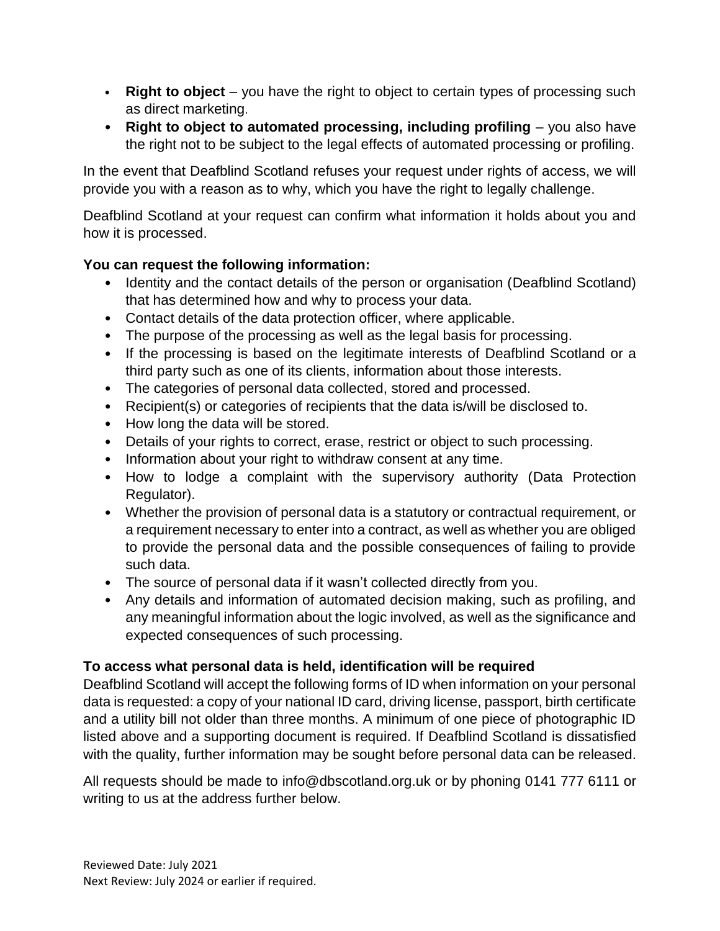- **Right to object** you have the right to object to certain types of processing such as direct marketing.
- **Right to object to automated processing, including profiling** you also have the right not to be subject to the legal effects of automated processing or profiling.

In the event that Deafblind Scotland refuses your request under rights of access, we will provide you with a reason as to why, which you have the right to legally challenge.

Deafblind Scotland at your request can confirm what information it holds about you and how it is processed.

# **You can request the following information:**

- Identity and the contact details of the person or organisation (Deafblind Scotland) that has determined how and why to process your data.
- Contact details of the data protection officer, where applicable.
- The purpose of the processing as well as the legal basis for processing.
- If the processing is based on the legitimate interests of Deafblind Scotland or a third party such as one of its clients, information about those interests.
- The categories of personal data collected, stored and processed.
- Recipient(s) or categories of recipients that the data is/will be disclosed to.
- How long the data will be stored.
- Details of your rights to correct, erase, restrict or object to such processing.
- Information about your right to withdraw consent at any time.
- How to lodge a complaint with the supervisory authority (Data Protection Regulator).
- Whether the provision of personal data is a statutory or contractual requirement, or a requirement necessary to enter into a contract, as well as whether you are obliged to provide the personal data and the possible consequences of failing to provide such data.
- The source of personal data if it wasn't collected directly from you.
- Any details and information of automated decision making, such as profiling, and any meaningful information about the logic involved, as well as the significance and expected consequences of such processing.

# **To access what personal data is held, identification will be required**

Deafblind Scotland will accept the following forms of ID when information on your personal data is requested: a copy of your national ID card, driving license, passport, birth certificate and a utility bill not older than three months. A minimum of one piece of photographic ID listed above and a supporting document is required. If Deafblind Scotland is dissatisfied with the quality, further information may be sought before personal data can be released.

All requests should be made to info@dbscotland.org.uk or by phoning 0141 777 6111 or writing to us at the address further below.